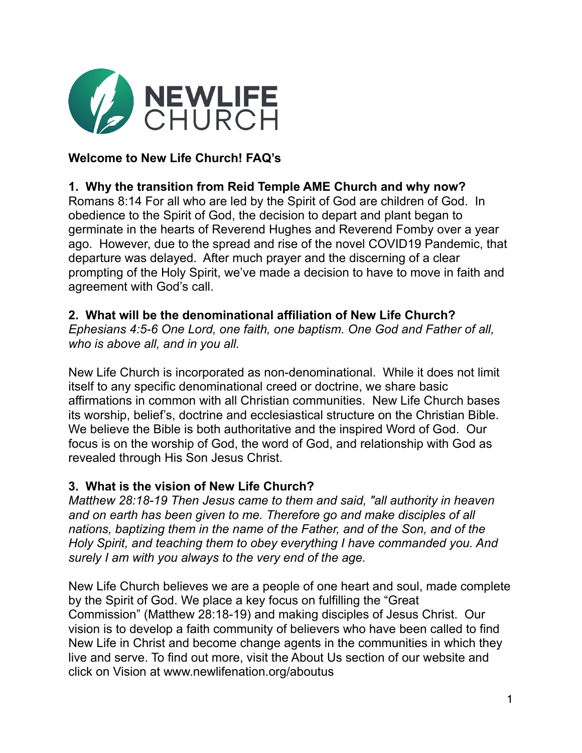

# **Welcome to New Life Church! FAQ's**

### **1. Why the transition from Reid Temple AME Church and why now?**

Romans 8:14 For all who are led by the Spirit of God are children of God. In obedience to the Spirit of God, the decision to depart and plant began to germinate in the hearts of Reverend Hughes and Reverend Fomby over a year ago. However, due to the spread and rise of the novel COVID19 Pandemic, that departure was delayed. After much prayer and the discerning of a clear prompting of the Holy Spirit, we've made a decision to have to move in faith and agreement with God's call.

#### **2. What will be the denominational affiliation of New Life Church?**

*Ephesians 4:5-6 One Lord, one faith, one baptism. One God and Father of all, who is above all, and in you all.* 

New Life Church is incorporated as non-denominational. While it does not limit itself to any specific denominational creed or doctrine, we share basic affirmations in common with all Christian communities. New Life Church bases its worship, belief's, doctrine and ecclesiastical structure on the Christian Bible. We believe the Bible is both authoritative and the inspired Word of God. Our focus is on the worship of God, the word of God, and relationship with God as revealed through His Son Jesus Christ.

### **3. What is the vision of New Life Church?**

*Matthew 28:18-19 Then Jesus came to them and said, "all authority in heaven and on earth has been given to me. Therefore go and make disciples of all nations, baptizing them in the name of the Father, and of the Son, and of the Holy Spirit, and teaching them to obey everything I have commanded you. And surely I am with you always to the very end of the age.* 

New Life Church believes we are a people of one heart and soul, made complete by the Spirit of God. We place a key focus on fulfilling the "Great Commission" (Matthew 28:18-19) and making disciples of Jesus Christ. Our vision is to develop a faith community of believers who have been called to find New Life in Christ and become change agents in the communities in which they live and serve. To find out more, visit the About Us section of our website and click on Vision at www.newlifenation.org/aboutus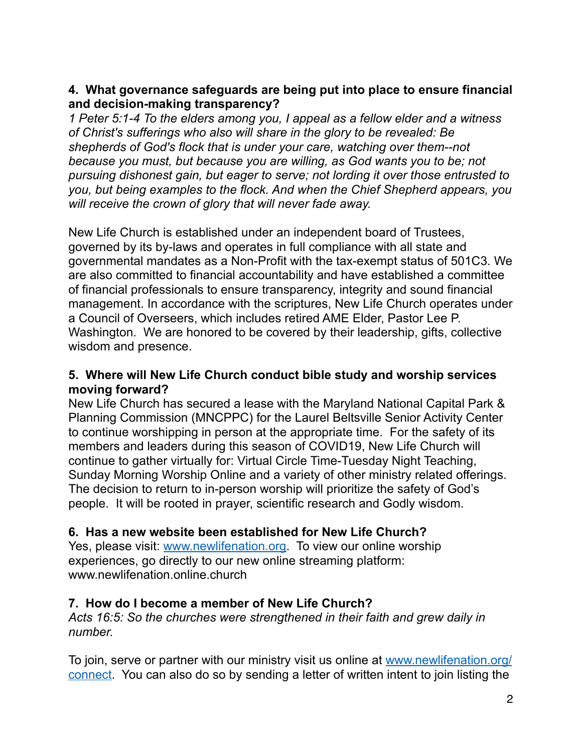## **4. What governance safeguards are being put into place to ensure financial and decision-making transparency?**

*1 Peter 5:1-4 To the elders among you, I appeal as a fellow elder and a witness of Christ's sufferings who also will share in the glory to be revealed: Be shepherds of God's flock that is under your care, watching over them--not because you must, but because you are willing, as God wants you to be; not pursuing dishonest gain, but eager to serve; not lording it over those entrusted to you, but being examples to the flock. And when the Chief Shepherd appears, you will receive the crown of glory that will never fade away.* 

New Life Church is established under an independent board of Trustees, governed by its by-laws and operates in full compliance with all state and governmental mandates as a Non-Profit with the tax-exempt status of 501C3. We are also committed to financial accountability and have established a committee of financial professionals to ensure transparency, integrity and sound financial management. In accordance with the scriptures, New Life Church operates under a Council of Overseers, which includes retired AME Elder, Pastor Lee P. Washington. We are honored to be covered by their leadership, gifts, collective wisdom and presence.

### **5. Where will New Life Church conduct bible study and worship services moving forward?**

New Life Church has secured a lease with the Maryland National Capital Park & Planning Commission (MNCPPC) for the Laurel Beltsville Senior Activity Center to continue worshipping in person at the appropriate time. For the safety of its members and leaders during this season of COVID19, New Life Church will continue to gather virtually for: Virtual Circle Time-Tuesday Night Teaching, Sunday Morning Worship Online and a variety of other ministry related offerings. The decision to return to in-person worship will prioritize the safety of God's people. It will be rooted in prayer, scientific research and Godly wisdom.

### **6. Has a new website been established for New Life Church?**

Yes, please visit: [www.newlifenation.org](http://www.newlifenation.org). To view our online worship experiences, go directly to our new online streaming platform: www.newlifenation.online.church

# **7. How do I become a member of New Life Church?**

*Acts 16:5: So the churches were strengthened in their faith and grew daily in number.* 

To join, serve or partner with our ministry visit us online at [www.newlifenation.org/](http://www.newlifenation.org/connect) [connect.](http://www.newlifenation.org/connect) You can also do so by sending a letter of written intent to join listing the